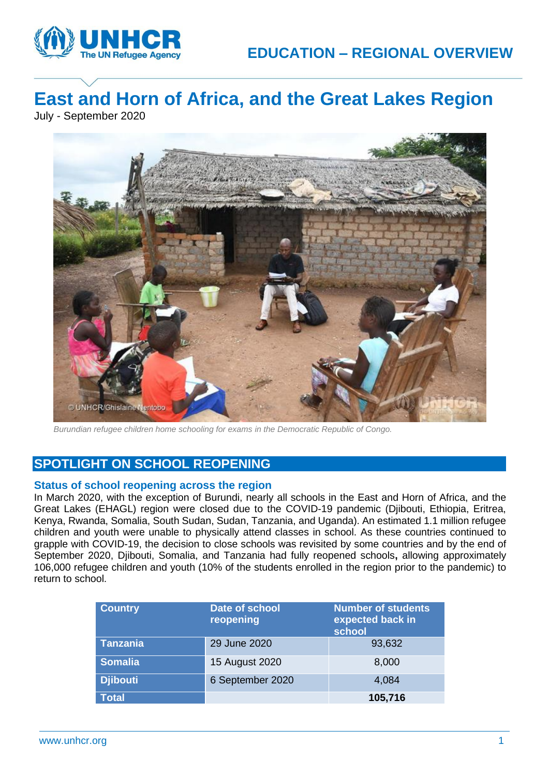

# **East and Horn of Africa, and the Great Lakes Region** July - September 2020



*Burundian refugee children home schooling for exams in the Democratic Republic of Congo.* 

## **SPOTLIGHT ON SCHOOL REOPENING**

#### **Status of school reopening across the region**

In March 2020, with the exception of Burundi, nearly all schools in the East and Horn of Africa, and the Great Lakes (EHAGL) region were closed due to the COVID-19 pandemic (Djibouti, Ethiopia, Eritrea, Kenya, Rwanda, Somalia, South Sudan, Sudan, Tanzania, and Uganda). An estimated 1.1 million refugee children and youth were unable to physically attend classes in school. As these countries continued to grapple with COVID-19, the decision to close schools was revisited by some countries and by the end of September 2020, Djibouti, Somalia, and Tanzania had fully reopened schools**,** allowing approximately 106,000 refugee children and youth (10% of the students enrolled in the region prior to the pandemic) to return to school.

| <b>Country</b>  | <b>Date of school</b><br>reopening | <b>Number of students</b><br>expected back in<br>school |
|-----------------|------------------------------------|---------------------------------------------------------|
| <b>Tanzania</b> | 29 June 2020                       | 93,632                                                  |
| <b>Somalia</b>  | 15 August 2020                     | 8,000                                                   |
| <b>Djibouti</b> | 6 September 2020                   | 4,084                                                   |
| <b>Total</b>    |                                    | 105,716                                                 |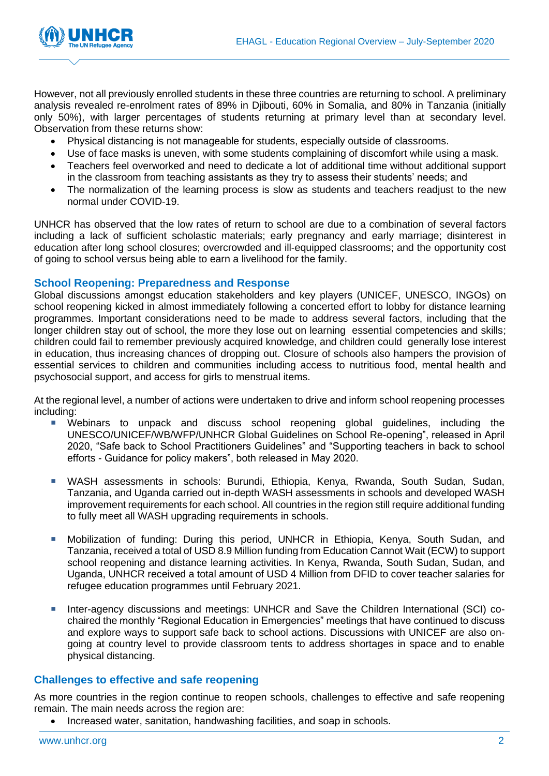

However, not all previously enrolled students in these three countries are returning to school. A preliminary analysis revealed re-enrolment rates of 89% in Djibouti, 60% in Somalia, and 80% in Tanzania (initially only 50%), with larger percentages of students returning at primary level than at secondary level. Observation from these returns show:

- Physical distancing is not manageable for students, especially outside of classrooms.
- Use of face masks is uneven, with some students complaining of discomfort while using a mask.
- Teachers feel overworked and need to dedicate a lot of additional time without additional support in the classroom from teaching assistants as they try to assess their students' needs; and
- The normalization of the learning process is slow as students and teachers readjust to the new normal under COVID-19.

UNHCR has observed that the low rates of return to school are due to a combination of several factors including a lack of sufficient scholastic materials; early pregnancy and early marriage; disinterest in education after long school closures; overcrowded and ill-equipped classrooms; and the opportunity cost of going to school versus being able to earn a livelihood for the family.

#### **School Reopening: Preparedness and Response**

Global discussions amongst education stakeholders and key players (UNICEF, UNESCO, INGOs) on school reopening kicked in almost immediately following a concerted effort to lobby for distance learning programmes. Important considerations need to be made to address several factors, including that the longer children stay out of school, the more they lose out on learning essential competencies and skills; children could fail to remember previously acquired knowledge, and children could generally lose interest in education, thus increasing chances of dropping out. Closure of schools also hampers the provision of essential services to children and communities including access to nutritious food, mental health and psychosocial support, and access for girls to menstrual items.

At the regional level, a number of actions were undertaken to drive and inform school reopening processes including:

- Webinars to unpack and discuss school reopening global guidelines, including the UNESCO/UNICEF/WB/WFP/UNHCR Global Guidelines on School Re-opening", released in April 2020, "Safe back to School Practitioners Guidelines" and "Supporting teachers in back to school efforts - Guidance for policy makers", both released in May 2020.
- WASH assessments in schools: Burundi, Ethiopia, Kenya, Rwanda, South Sudan, Sudan, Tanzania, and Uganda carried out in-depth WASH assessments in schools and developed WASH improvement requirements for each school. All countries in the region still require additional funding to fully meet all WASH upgrading requirements in schools.
- **Mobilization of funding: During this period, UNHCR in Ethiopia, Kenya, South Sudan, and** Tanzania, received a total of USD 8.9 Million funding from Education Cannot Wait (ECW) to support school reopening and distance learning activities. In Kenya, Rwanda, South Sudan, Sudan, and Uganda, UNHCR received a total amount of USD 4 Million from DFID to cover teacher salaries for refugee education programmes until February 2021.
- Inter-agency discussions and meetings: UNHCR and Save the Children International (SCI) cochaired the monthly "Regional Education in Emergencies" meetings that have continued to discuss and explore ways to support safe back to school actions. Discussions with UNICEF are also ongoing at country level to provide classroom tents to address shortages in space and to enable physical distancing.

### **Challenges to effective and safe reopening**

As more countries in the region continue to reopen schools, challenges to effective and safe reopening remain. The main needs across the region are:

• Increased water, sanitation, handwashing facilities, and soap in schools.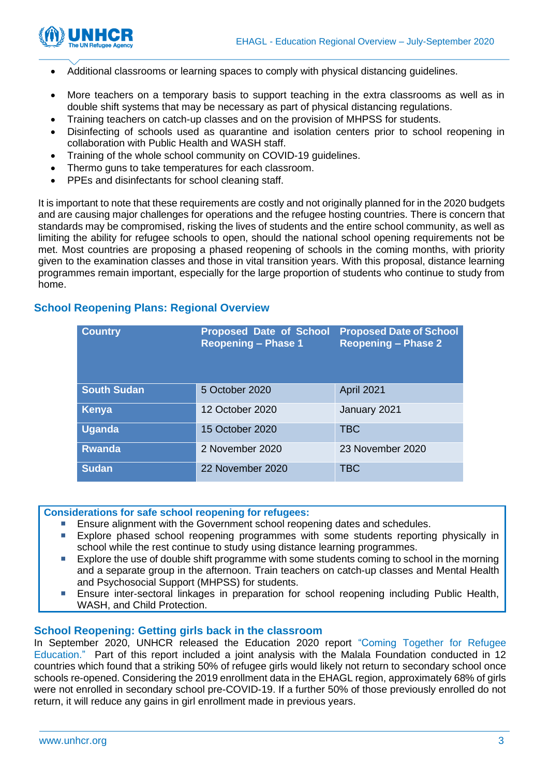

- Additional classrooms or learning spaces to comply with physical distancing guidelines.
- More teachers on a temporary basis to support teaching in the extra classrooms as well as in double shift systems that may be necessary as part of physical distancing regulations.
- Training teachers on catch-up classes and on the provision of MHPSS for students.
- Disinfecting of schools used as quarantine and isolation centers prior to school reopening in collaboration with Public Health and WASH staff.
- Training of the whole school community on COVID-19 guidelines.
- Thermo guns to take temperatures for each classroom.
- PPEs and disinfectants for school cleaning staff.

It is important to note that these requirements are costly and not originally planned for in the 2020 budgets and are causing major challenges for operations and the refugee hosting countries. There is concern that standards may be compromised, risking the lives of students and the entire school community, as well as limiting the ability for refugee schools to open, should the national school opening requirements not be met. Most countries are proposing a phased reopening of schools in the coming months, with priority given to the examination classes and those in vital transition years. With this proposal, distance learning programmes remain important, especially for the large proportion of students who continue to study from home.

## **School Reopening Plans: Regional Overview**

| <b>Country</b>     | <b>Proposed Date of School</b><br><b>Reopening - Phase 1</b> | <b>Proposed Date of School</b><br><b>Reopening - Phase 2</b> |
|--------------------|--------------------------------------------------------------|--------------------------------------------------------------|
| <b>South Sudan</b> | 5 October 2020                                               | <b>April 2021</b>                                            |
| Kenya              | 12 October 2020                                              | January 2021                                                 |
| <b>Uganda</b>      | 15 October 2020                                              | <b>TBC</b>                                                   |
| <b>Rwanda</b>      | 2 November 2020                                              | 23 November 2020                                             |
| <b>Sudan</b>       | 22 November 2020                                             | <b>TBC</b>                                                   |

**Considerations for safe school reopening for refugees:**

- Ensure alignment with the Government school reopening dates and schedules.
- Explore phased school reopening programmes with some students reporting physically in school while the rest continue to study using distance learning programmes.
- Explore the use of double shift programme with some students coming to school in the morning and a separate group in the afternoon. Train teachers on catch-up classes and Mental Health and Psychosocial Support (MHPSS) for students.
- Ensure inter-sectoral linkages in preparation for school reopening including Public Health, WASH, and Child Protection.

## **School Reopening: Getting girls back in the classroom**

In September 2020, UNHCR released the Education 2020 report ["Coming Together for Refugee](https://www.unhcr.org/5f4f9a2b4)  [Education."](https://www.unhcr.org/5f4f9a2b4) Part of this report included a joint analysis with the Malala Foundation conducted in 12 countries which found that a striking 50% of refugee girls would likely not return to secondary school once schools re-opened. Considering the 2019 enrollment data in the EHAGL region, approximately 68% of girls were not enrolled in secondary school pre-COVID-19. If a further 50% of those previously enrolled do not return, it will reduce any gains in girl enrollment made in previous years.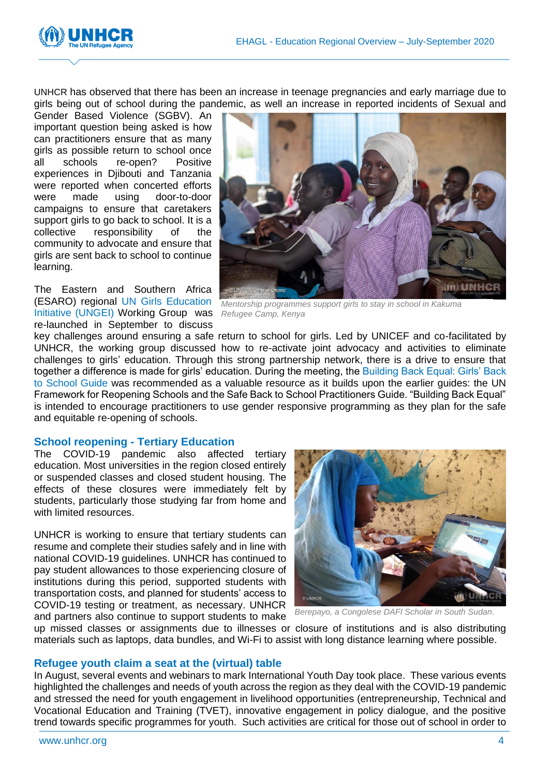

UNHCR has observed that there has been an increase in teenage pregnancies and early marriage due to girls being out of school during the pandemic, as well an increase in reported incidents of Sexual and

Gender Based Violence (SGBV). An important question being asked is how can practitioners ensure that as many girls as possible return to school once all schools re-open? Positive experiences in Djibouti and Tanzania were reported when concerted efforts were made using door-to-door campaigns to ensure that caretakers support girls to go back to school. It is a collective responsibility of the community to advocate and ensure that girls are sent back to school to continue learning.

The Eastern and Southern Africa [Initiative \(UNGEI\)](http://www.ungei.org/) Working Group was *Refugee Camp, Kenya* re-launched in September to discuss



(ESARO) regional [UN Girls Education](http://www.ungei.org/) *Mentorship programmes support girls to stay in school in Kakuma*

key challenges around ensuring a safe return to school for girls. Led by UNICEF and co-facilitated by UNHCR, the working group discussed how to re-activate joint advocacy and activities to eliminate challenges to girls' education. Through this strong partnership network, there is a drive to ensure that together a difference is made for girls' education. During the meeting, the [Building Back Equal: Girls' Back](https://plan-international.org/publications/building-back-equal-girls-back-school-guide)  [to School Guide](https://plan-international.org/publications/building-back-equal-girls-back-school-guide) was recommended as a valuable resource as it builds upon the earlier guides: the UN Framework for Reopening Schools and the Safe Back to School Practitioners Guide. "Building Back Equal" is intended to encourage practitioners to use gender responsive programming as they plan for the safe and equitable re-opening of schools.

### **School reopening - Tertiary Education**

The COVID-19 pandemic also affected tertiary education. Most universities in the region closed entirely or suspended classes and closed student housing. The effects of these closures were immediately felt by students, particularly those studying far from home and with limited resources.

UNHCR is working to ensure that tertiary students can resume and complete their studies safely and in line with national COVID-19 guidelines. UNHCR has continued to pay student allowances to those experiencing closure of institutions during this period, supported students with transportation costs, and planned for students' access to COVID-19 testing or treatment, as necessary. UNHCR and partners also continue to support students to make



*Berepayo, a Congolese DAFI Scholar in South Sudan.*

up missed classes or assignments due to illnesses or closure of institutions and is also distributing materials such as laptops, data bundles, and Wi-Fi to assist with long distance learning where possible.

### **Refugee youth claim a seat at the (virtual) table**

In August, several events and webinars to mark International Youth Day took place. These various events highlighted the challenges and needs of youth across the region as they deal with the COVID-19 pandemic and stressed the need for youth engagement in livelihood opportunities (entrepreneurship, Technical and Vocational Education and Training (TVET), innovative engagement in policy dialogue, and the positive trend towards specific programmes for youth. Such activities are critical for those out of school in order to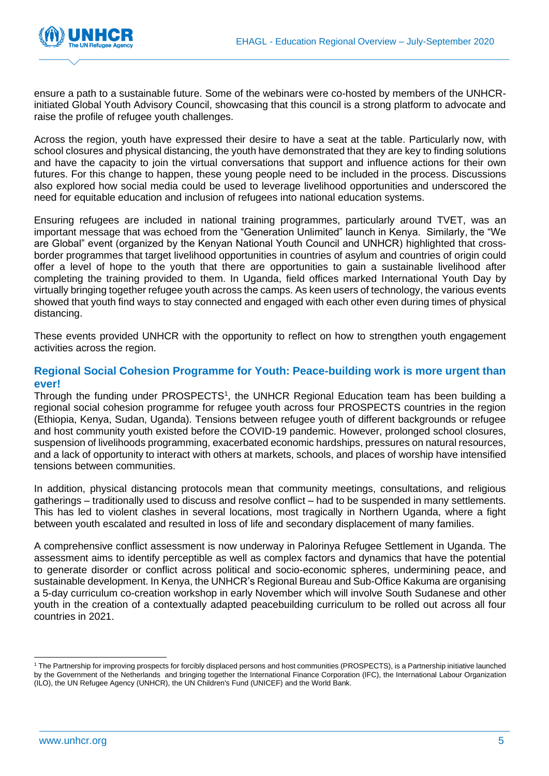

ensure a path to a sustainable future. Some of the webinars were co-hosted by members of the UNHCRinitiated Global Youth Advisory Council, showcasing that this council is a strong platform to advocate and raise the profile of refugee youth challenges.

Across the region, youth have expressed their desire to have a seat at the table. Particularly now, with school closures and physical distancing, the youth have demonstrated that they are key to finding solutions and have the capacity to join the virtual conversations that support and influence actions for their own futures. For this change to happen, these young people need to be included in the process. Discussions also explored how social media could be used to leverage livelihood opportunities and underscored the need for equitable education and inclusion of refugees into national education systems.

Ensuring refugees are included in national training programmes, particularly around TVET, was an important message that was echoed from the "Generation Unlimited" launch in Kenya. Similarly, the "We are Global" event (organized by the Kenyan National Youth Council and UNHCR) highlighted that crossborder programmes that target livelihood opportunities in countries of asylum and countries of origin could offer a level of hope to the youth that there are opportunities to gain a sustainable livelihood after completing the training provided to them. In Uganda, field offices marked International Youth Day by virtually bringing together refugee youth across the camps. As keen users of technology, the various events showed that youth find ways to stay connected and engaged with each other even during times of physical distancing.

These events provided UNHCR with the opportunity to reflect on how to strengthen youth engagement activities across the region.

### **Regional Social Cohesion Programme for Youth: Peace-building work is more urgent than ever!**

Through the funding under PROSPECTS<sup>1</sup>, the UNHCR Regional Education team has been building a regional social cohesion programme for refugee youth across four PROSPECTS countries in the region (Ethiopia, Kenya, Sudan, Uganda). Tensions between refugee youth of different backgrounds or refugee and host community youth existed before the COVID-19 pandemic. However, prolonged school closures, suspension of livelihoods programming, exacerbated economic hardships, pressures on natural resources, and a lack of opportunity to interact with others at markets, schools, and places of worship have intensified tensions between communities.

In addition, physical distancing protocols mean that community meetings, consultations, and religious gatherings – traditionally used to discuss and resolve conflict – had to be suspended in many settlements. This has led to violent clashes in several locations, most tragically in Northern Uganda, where a fight between youth escalated and resulted in loss of life and secondary displacement of many families.

A comprehensive conflict assessment is now underway in Palorinya Refugee Settlement in Uganda. The assessment aims to identify perceptible as well as complex factors and dynamics that have the potential to generate disorder or conflict across political and socio-economic spheres, undermining peace, and sustainable development. In Kenya, the UNHCR's Regional Bureau and Sub-Office Kakuma are organising a 5-day curriculum co-creation workshop in early November which will involve South Sudanese and other youth in the creation of a contextually adapted peacebuilding curriculum to be rolled out across all four countries in 2021.

<sup>1</sup> The Partnership for improving prospects for forcibly displaced persons and host communities (PROSPECTS), is a Partnership initiative launched by the Government of the Netherlands and bringing together the International Finance Corporation (IFC), the International Labour Organization (ILO), the UN Refugee Agency (UNHCR), the UN Children's Fund (UNICEF) and the World Bank.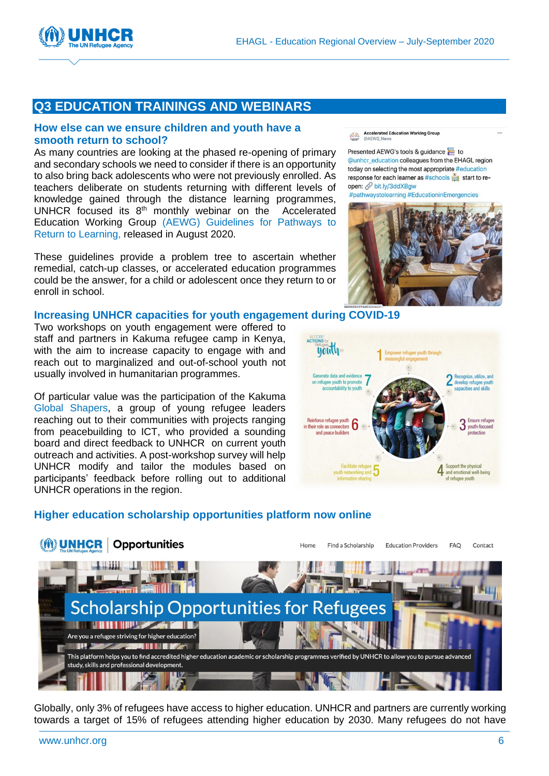

## **Q3 EDUCATION TRAININGS AND WEBINARS**

#### **How else can we ensure children and youth have a smooth return to school?**

As many countries are looking at the phased re-opening of primary and secondary schools we need to consider if there is an opportunity to also bring back adolescents who were not previously enrolled. As teachers deliberate on students returning with different levels of knowledge gained through the distance learning programmes, UNHCR focused its  $8<sup>th</sup>$  monthly webinar on the Accelerated Education Working Group [\(AEWG\) Guidelines for Pathways to](https://inee.org/system/files/resources/AEWG_COVID19_Pathways%20for%20the%20Return%20to%20Learning-screen_0.pdf)  [Return to Learning,](https://inee.org/system/files/resources/AEWG_COVID19_Pathways%20for%20the%20Return%20to%20Learning-screen_0.pdf) released in August 2020.

These guidelines provide a problem tree to ascertain whether remedial, catch-up classes, or accelerated education programmes could be the answer, for a child or adolescent once they return to or enroll in school.

#### **Increasing UNHCR capacities for youth engagement during COVID-19**

Two workshops on youth engagement were offered to staff and partners in Kakuma refugee camp in Kenya, with the aim to increase capacity to engage with and reach out to marginalized and out-of-school youth not usually involved in humanitarian programmes.

Of particular value was the participation of the Kakuma [Global Shapers,](https://www.globalshapers.org/hubs/kakuma-hub) a group of young refugee leaders reaching out to their communities with projects ranging from peacebuilding to ICT, who provided a sounding board and direct feedback to UNHCR on current youth outreach and activities. A post-workshop survey will help UNHCR modify and tailor the modules based on participants' feedback before rolling out to additional UNHCR operations in the region.

#### **Higher education scholarship opportunities platform now online**



Globally, only 3% of refugees have access to higher education. UNHCR and partners are currently working towards a target of 15% of refugees attending higher education by 2030. Many refugees do not have

Presented AEWG's tools & guidance to @unhcr\_education colleagues from the EHAGL region today on selecting the most appropriate #education response for each learner as #schools is start to reopen: 2 bit.ly/3ddXBgw

#pathwaystolearning #EducationinEmergencies